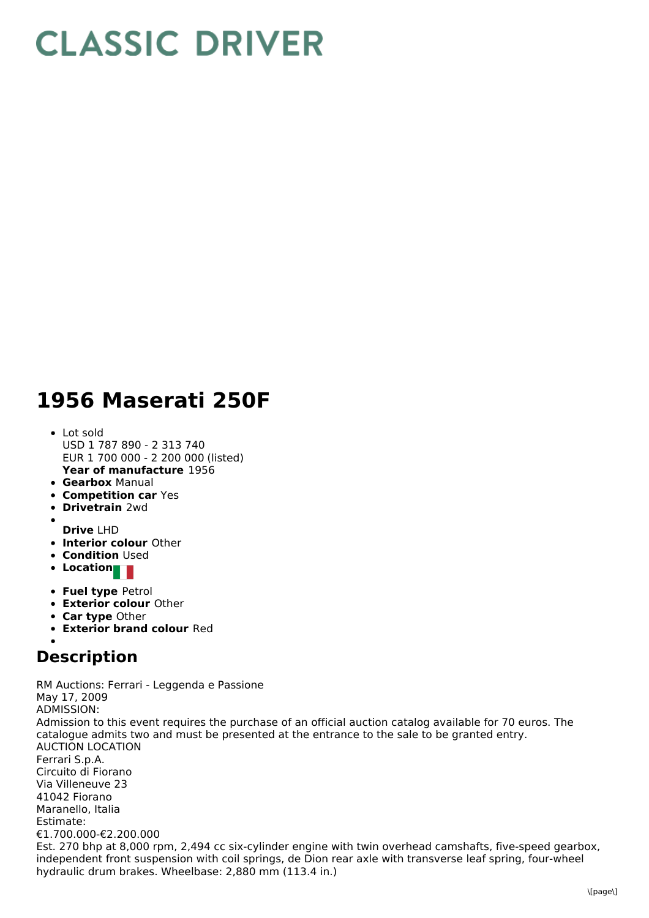## **CLASSIC DRIVER**

## **1956 Maserati 250F**

- **Year of manufacture** 1956 • Lot sold USD 1 787 890 - 2 313 740 EUR 1 700 000 - 2 200 000 (listed)
- **Gearbox** Manual
- **Competition car** Yes
- **Drivetrain** 2wd
- **Drive** LHD
- **Interior colour** Other
- **Condition Used**
- **Location**
- **Fuel type** Petrol
- **Exterior colour** Other
- **Car type** Other
- **Exterior brand colour** Red

## **Description**

RM Auctions: Ferrari - Leggenda e Passione May 17, 2009 ADMISSION: Admission to this event requires the purchase of an official auction catalog available for 70 euros. The catalogue admits two and must be presented at the entrance to the sale to be granted entry. AUCTION LOCATION Ferrari S.p.A. Circuito di Fiorano Via Villeneuve 23 41042 Fiorano Maranello, Italia Estimate: €1.700.000-€2.200.000 Est. 270 bhp at 8,000 rpm, 2,494 cc six-cylinder engine with twin overhead camshafts, five-speed gearbox, independent front suspension with coil springs, de Dion rear axle with transverse leaf spring, four-wheel hydraulic drum brakes. Wheelbase: 2,880 mm (113.4 in.)